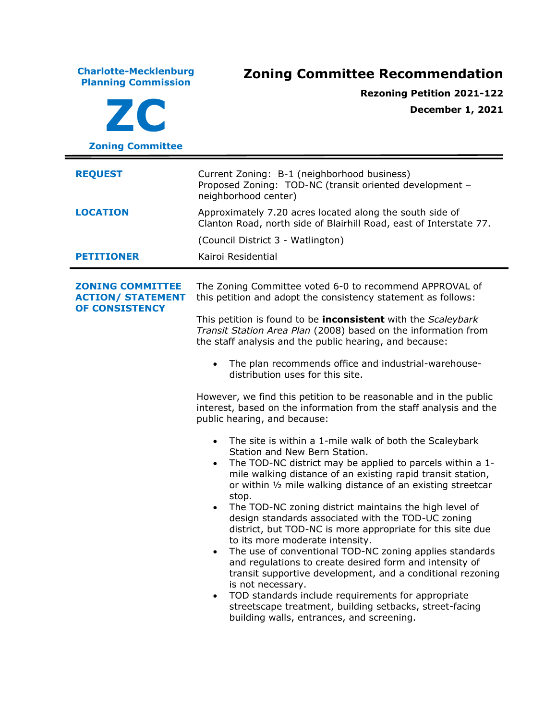| <b>Charlotte-Mecklenburg</b><br><b>Planning Commission</b><br>ZC<br><b>Zoning Committee</b> | <b>Zoning Committee Recommendation</b><br><b>Rezoning Petition 2021-122</b><br><b>December 1, 2021</b>                                                                                                                                                                                                                                                                                                                                                                                                                                                                                                                                                                                                                                                                                                                                                                                                                                                                                                                                                                                                                                                                                                                                                                                                                                                                                                                                                                                                                                            |  |
|---------------------------------------------------------------------------------------------|---------------------------------------------------------------------------------------------------------------------------------------------------------------------------------------------------------------------------------------------------------------------------------------------------------------------------------------------------------------------------------------------------------------------------------------------------------------------------------------------------------------------------------------------------------------------------------------------------------------------------------------------------------------------------------------------------------------------------------------------------------------------------------------------------------------------------------------------------------------------------------------------------------------------------------------------------------------------------------------------------------------------------------------------------------------------------------------------------------------------------------------------------------------------------------------------------------------------------------------------------------------------------------------------------------------------------------------------------------------------------------------------------------------------------------------------------------------------------------------------------------------------------------------------------|--|
| <b>REQUEST</b><br><b>LOCATION</b><br><b>PETITIONER</b>                                      | Current Zoning: B-1 (neighborhood business)<br>Proposed Zoning: TOD-NC (transit oriented development -<br>neighborhood center)<br>Approximately 7.20 acres located along the south side of<br>Clanton Road, north side of Blairhill Road, east of Interstate 77.<br>(Council District 3 - Watlington)<br>Kairoi Residential                                                                                                                                                                                                                                                                                                                                                                                                                                                                                                                                                                                                                                                                                                                                                                                                                                                                                                                                                                                                                                                                                                                                                                                                                       |  |
| <b>ZONING COMMITTEE</b><br><b>ACTION/ STATEMENT</b><br>OF CONSISTENCY                       | The Zoning Committee voted 6-0 to recommend APPROVAL of<br>this petition and adopt the consistency statement as follows:<br>This petition is found to be <b>inconsistent</b> with the Scaleybark<br>Transit Station Area Plan (2008) based on the information from<br>the staff analysis and the public hearing, and because:<br>The plan recommends office and industrial-warehouse-<br>$\bullet$<br>distribution uses for this site.<br>However, we find this petition to be reasonable and in the public<br>interest, based on the information from the staff analysis and the<br>public hearing, and because:<br>The site is within a 1-mile walk of both the Scaleybark<br>Station and New Bern Station.<br>The TOD-NC district may be applied to parcels within a 1-<br>mile walking distance of an existing rapid transit station,<br>or within 1/2 mile walking distance of an existing streetcar<br>stop.<br>The TOD-NC zoning district maintains the high level of<br>$\bullet$<br>design standards associated with the TOD-UC zoning<br>district, but TOD-NC is more appropriate for this site due<br>to its more moderate intensity.<br>The use of conventional TOD-NC zoning applies standards<br>$\bullet$<br>and regulations to create desired form and intensity of<br>transit supportive development, and a conditional rezoning<br>is not necessary.<br>TOD standards include requirements for appropriate<br>$\bullet$<br>streetscape treatment, building setbacks, street-facing<br>building walls, entrances, and screening. |  |